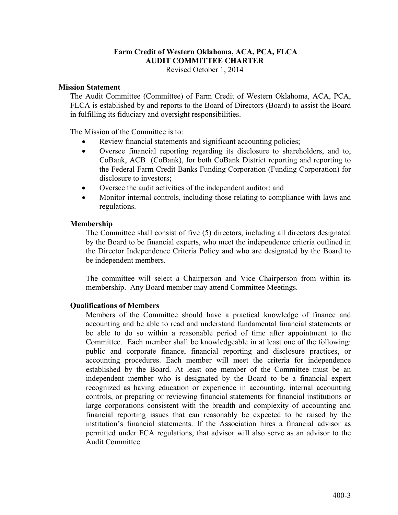# **Farm Credit of Western Oklahoma, ACA, PCA, FLCA AUDIT COMMITTEE CHARTER**

Revised October 1, 2014

#### **Mission Statement**

The Audit Committee (Committee) of Farm Credit of Western Oklahoma, ACA, PCA, FLCA is established by and reports to the Board of Directors (Board) to assist the Board in fulfilling its fiduciary and oversight responsibilities.

The Mission of the Committee is to:

- Review financial statements and significant accounting policies;
- Oversee financial reporting regarding its disclosure to shareholders, and to, CoBank, ACB (CoBank), for both CoBank District reporting and reporting to the Federal Farm Credit Banks Funding Corporation (Funding Corporation) for disclosure to investors;
- Oversee the audit activities of the independent auditor; and
- Monitor internal controls, including those relating to compliance with laws and regulations.

### **Membership**

The Committee shall consist of five (5) directors, including all directors designated by the Board to be financial experts, who meet the independence criteria outlined in the Director Independence Criteria Policy and who are designated by the Board to be independent members.

The committee will select a Chairperson and Vice Chairperson from within its membership. Any Board member may attend Committee Meetings.

### **Qualifications of Members**

Members of the Committee should have a practical knowledge of finance and accounting and be able to read and understand fundamental financial statements or be able to do so within a reasonable period of time after appointment to the Committee. Each member shall be knowledgeable in at least one of the following: public and corporate finance, financial reporting and disclosure practices, or accounting procedures. Each member will meet the criteria for independence established by the Board. At least one member of the Committee must be an independent member who is designated by the Board to be a financial expert recognized as having education or experience in accounting, internal accounting controls, or preparing or reviewing financial statements for financial institutions or large corporations consistent with the breadth and complexity of accounting and financial reporting issues that can reasonably be expected to be raised by the institution's financial statements. If the Association hires a financial advisor as permitted under FCA regulations, that advisor will also serve as an advisor to the Audit Committee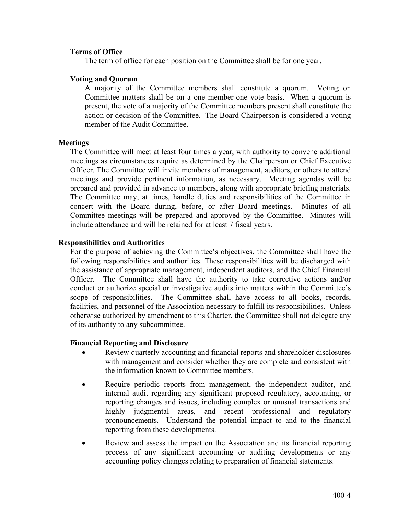### **Terms of Office**

The term of office for each position on the Committee shall be for one year.

#### **Voting and Quorum**

A majority of the Committee members shall constitute a quorum. Voting on Committee matters shall be on a one member-one vote basis. When a quorum is present, the vote of a majority of the Committee members present shall constitute the action or decision of the Committee. The Board Chairperson is considered a voting member of the Audit Committee.

#### **Meetings**

The Committee will meet at least four times a year, with authority to convene additional meetings as circumstances require as determined by the Chairperson or Chief Executive Officer. The Committee will invite members of management, auditors, or others to attend meetings and provide pertinent information, as necessary. Meeting agendas will be prepared and provided in advance to members, along with appropriate briefing materials. The Committee may, at times, handle duties and responsibilities of the Committee in concert with the Board during, before, or after Board meetings. Minutes of all Committee meetings will be prepared and approved by the Committee. Minutes will include attendance and will be retained for at least 7 fiscal years.

#### **Responsibilities and Authorities**

For the purpose of achieving the Committee's objectives, the Committee shall have the following responsibilities and authorities. These responsibilities will be discharged with the assistance of appropriate management, independent auditors, and the Chief Financial Officer. The Committee shall have the authority to take corrective actions and/or conduct or authorize special or investigative audits into matters within the Committee's scope of responsibilities. The Committee shall have access to all books, records, facilities, and personnel of the Association necessary to fulfill its responsibilities. Unless otherwise authorized by amendment to this Charter, the Committee shall not delegate any of its authority to any subcommittee.

#### **Financial Reporting and Disclosure**

- Review quarterly accounting and financial reports and shareholder disclosures with management and consider whether they are complete and consistent with the information known to Committee members.
- Require periodic reports from management, the independent auditor, and internal audit regarding any significant proposed regulatory, accounting, or reporting changes and issues, including complex or unusual transactions and highly judgmental areas, and recent professional and regulatory pronouncements. Understand the potential impact to and to the financial reporting from these developments.
- Review and assess the impact on the Association and its financial reporting process of any significant accounting or auditing developments or any accounting policy changes relating to preparation of financial statements.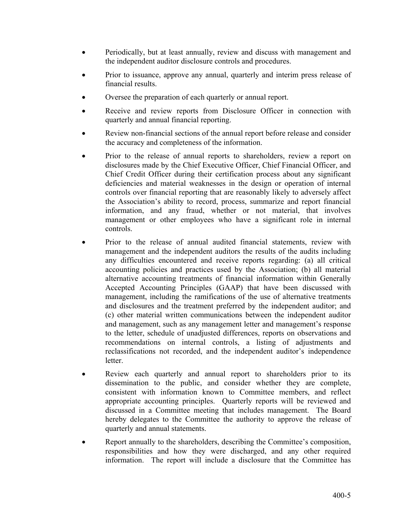- Periodically, but at least annually, review and discuss with management and the independent auditor disclosure controls and procedures.
- Prior to issuance, approve any annual, quarterly and interim press release of financial results.
- Oversee the preparation of each quarterly or annual report.
- Receive and review reports from Disclosure Officer in connection with quarterly and annual financial reporting.
- Review non-financial sections of the annual report before release and consider the accuracy and completeness of the information.
- Prior to the release of annual reports to shareholders, review a report on disclosures made by the Chief Executive Officer, Chief Financial Officer, and Chief Credit Officer during their certification process about any significant deficiencies and material weaknesses in the design or operation of internal controls over financial reporting that are reasonably likely to adversely affect the Association's ability to record, process, summarize and report financial information, and any fraud, whether or not material, that involves management or other employees who have a significant role in internal controls.
- Prior to the release of annual audited financial statements, review with management and the independent auditors the results of the audits including any difficulties encountered and receive reports regarding: (a) all critical accounting policies and practices used by the Association; (b) all material alternative accounting treatments of financial information within Generally Accepted Accounting Principles (GAAP) that have been discussed with management, including the ramifications of the use of alternative treatments and disclosures and the treatment preferred by the independent auditor; and (c) other material written communications between the independent auditor and management, such as any management letter and management's response to the letter, schedule of unadjusted differences, reports on observations and recommendations on internal controls, a listing of adjustments and reclassifications not recorded, and the independent auditor's independence letter.
- Review each quarterly and annual report to shareholders prior to its dissemination to the public, and consider whether they are complete, consistent with information known to Committee members, and reflect appropriate accounting principles. Quarterly reports will be reviewed and discussed in a Committee meeting that includes management. The Board hereby delegates to the Committee the authority to approve the release of quarterly and annual statements.
- Report annually to the shareholders, describing the Committee's composition, responsibilities and how they were discharged, and any other required information. The report will include a disclosure that the Committee has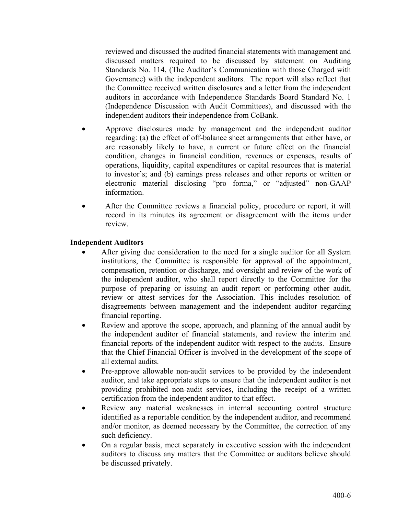reviewed and discussed the audited financial statements with management and discussed matters required to be discussed by statement on Auditing Standards No. 114, (The Auditor's Communication with those Charged with Governance) with the independent auditors. The report will also reflect that the Committee received written disclosures and a letter from the independent auditors in accordance with Independence Standards Board Standard No. 1 (Independence Discussion with Audit Committees), and discussed with the independent auditors their independence from CoBank.

- Approve disclosures made by management and the independent auditor regarding: (a) the effect of off-balance sheet arrangements that either have, or are reasonably likely to have, a current or future effect on the financial condition, changes in financial condition, revenues or expenses, results of operations, liquidity, capital expenditures or capital resources that is material to investor's; and (b) earnings press releases and other reports or written or electronic material disclosing "pro forma," or "adjusted" non-GAAP information.
- After the Committee reviews a financial policy, procedure or report, it will record in its minutes its agreement or disagreement with the items under review.

### **Independent Auditors**

- After giving due consideration to the need for a single auditor for all System institutions, the Committee is responsible for approval of the appointment, compensation, retention or discharge, and oversight and review of the work of the independent auditor, who shall report directly to the Committee for the purpose of preparing or issuing an audit report or performing other audit, review or attest services for the Association. This includes resolution of disagreements between management and the independent auditor regarding financial reporting.
- Review and approve the scope, approach, and planning of the annual audit by the independent auditor of financial statements, and review the interim and financial reports of the independent auditor with respect to the audits. Ensure that the Chief Financial Officer is involved in the development of the scope of all external audits.
- Pre-approve allowable non-audit services to be provided by the independent auditor, and take appropriate steps to ensure that the independent auditor is not providing prohibited non-audit services, including the receipt of a written certification from the independent auditor to that effect.
- Review any material weaknesses in internal accounting control structure identified as a reportable condition by the independent auditor, and recommend and/or monitor, as deemed necessary by the Committee, the correction of any such deficiency.
- On a regular basis, meet separately in executive session with the independent auditors to discuss any matters that the Committee or auditors believe should be discussed privately.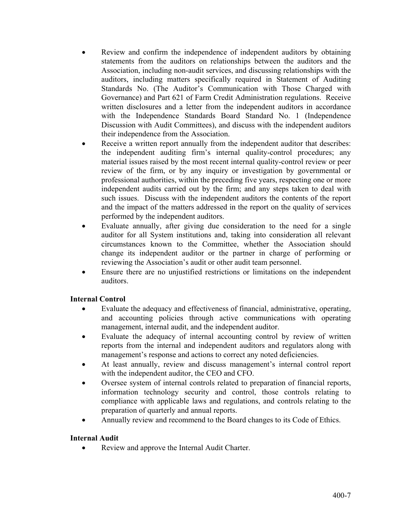- Review and confirm the independence of independent auditors by obtaining statements from the auditors on relationships between the auditors and the Association, including non-audit services, and discussing relationships with the auditors, including matters specifically required in Statement of Auditing Standards No. (The Auditor's Communication with Those Charged with Governance) and Part 621 of Farm Credit Administration regulations. Receive written disclosures and a letter from the independent auditors in accordance with the Independence Standards Board Standard No. 1 (Independence Discussion with Audit Committees), and discuss with the independent auditors their independence from the Association.
- Receive a written report annually from the independent auditor that describes: the independent auditing firm's internal quality-control procedures; any material issues raised by the most recent internal quality-control review or peer review of the firm, or by any inquiry or investigation by governmental or professional authorities, within the preceding five years, respecting one or more independent audits carried out by the firm; and any steps taken to deal with such issues. Discuss with the independent auditors the contents of the report and the impact of the matters addressed in the report on the quality of services performed by the independent auditors.
- Evaluate annually, after giving due consideration to the need for a single auditor for all System institutions and, taking into consideration all relevant circumstances known to the Committee, whether the Association should change its independent auditor or the partner in charge of performing or reviewing the Association's audit or other audit team personnel.
- Ensure there are no unjustified restrictions or limitations on the independent auditors.

### **Internal Control**

- Evaluate the adequacy and effectiveness of financial, administrative, operating, and accounting policies through active communications with operating management, internal audit, and the independent auditor.
- Evaluate the adequacy of internal accounting control by review of written reports from the internal and independent auditors and regulators along with management's response and actions to correct any noted deficiencies.
- At least annually, review and discuss management's internal control report with the independent auditor, the CEO and CFO.
- Oversee system of internal controls related to preparation of financial reports, information technology security and control, those controls relating to compliance with applicable laws and regulations, and controls relating to the preparation of quarterly and annual reports.
- Annually review and recommend to the Board changes to its Code of Ethics.

# **Internal Audit**

Review and approve the Internal Audit Charter.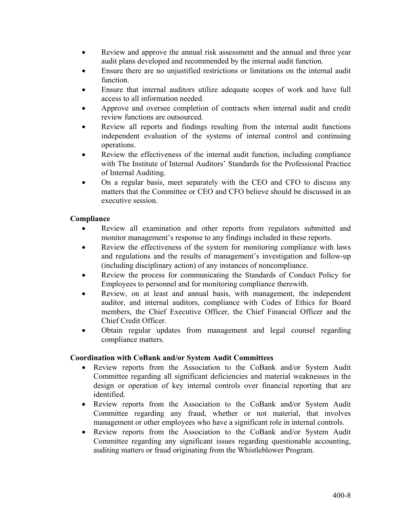- Review and approve the annual risk assessment and the annual and three year audit plans developed and recommended by the internal audit function.
- Ensure there are no unjustified restrictions or limitations on the internal audit function.
- Ensure that internal auditors utilize adequate scopes of work and have full access to all information needed.
- Approve and oversee completion of contracts when internal audit and credit review functions are outsourced.
- Review all reports and findings resulting from the internal audit functions independent evaluation of the systems of internal control and continuing operations.
- Review the effectiveness of the internal audit function, including compliance with The Institute of Internal Auditors' Standards for the Professional Practice of Internal Auditing.
- On a regular basis, meet separately with the CEO and CFO to discuss any matters that the Committee or CEO and CFO believe should be discussed in an executive session.

## **Compliance**

- Review all examination and other reports from regulators submitted and monitor management's response to any findings included in these reports.
- Review the effectiveness of the system for monitoring compliance with laws and regulations and the results of management's investigation and follow-up (including disciplinary action) of any instances of noncompliance.
- Review the process for communicating the Standards of Conduct Policy for Employees to personnel and for monitoring compliance therewith.
- Review, on at least and annual basis, with management, the independent auditor, and internal auditors, compliance with Codes of Ethics for Board members, the Chief Executive Officer, the Chief Financial Officer and the Chief Credit Officer.
- Obtain regular updates from management and legal counsel regarding compliance matters.

### **Coordination with CoBank and/or System Audit Committees**

- Review reports from the Association to the CoBank and/or System Audit Committee regarding all significant deficiencies and material weaknesses in the design or operation of key internal controls over financial reporting that are identified.
- Review reports from the Association to the CoBank and/or System Audit Committee regarding any fraud, whether or not material, that involves management or other employees who have a significant role in internal controls.
- Review reports from the Association to the CoBank and/or System Audit Committee regarding any significant issues regarding questionable accounting, auditing matters or fraud originating from the Whistleblower Program.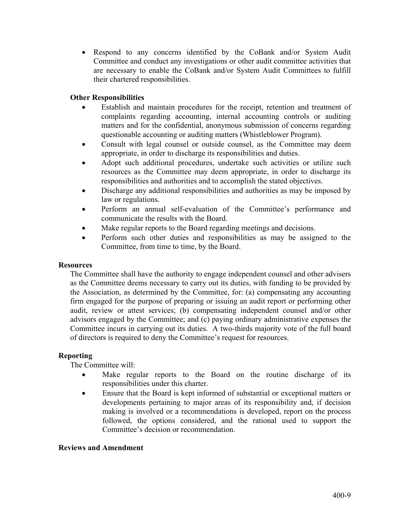Respond to any concerns identified by the CoBank and/or System Audit Committee and conduct any investigations or other audit committee activities that are necessary to enable the CoBank and/or System Audit Committees to fulfill their chartered responsibilities.

### **Other Responsibilities**

- Establish and maintain procedures for the receipt, retention and treatment of complaints regarding accounting, internal accounting controls or auditing matters and for the confidential, anonymous submission of concerns regarding questionable accounting or auditing matters (Whistleblower Program).
- Consult with legal counsel or outside counsel, as the Committee may deem appropriate, in order to discharge its responsibilities and duties.
- Adopt such additional procedures, undertake such activities or utilize such resources as the Committee may deem appropriate, in order to discharge its responsibilities and authorities and to accomplish the stated objectives.
- Discharge any additional responsibilities and authorities as may be imposed by law or regulations.
- Perform an annual self-evaluation of the Committee's performance and communicate the results with the Board.
- Make regular reports to the Board regarding meetings and decisions.
- Perform such other duties and responsibilities as may be assigned to the Committee, from time to time, by the Board.

### **Resources**

The Committee shall have the authority to engage independent counsel and other advisers as the Committee deems necessary to carry out its duties, with funding to be provided by the Association, as determined by the Committee, for: (a) compensating any accounting firm engaged for the purpose of preparing or issuing an audit report or performing other audit, review or attest services; (b) compensating independent counsel and/or other advisors engaged by the Committee; and (c) paying ordinary administrative expenses the Committee incurs in carrying out its duties. A two-thirds majority vote of the full board of directors is required to deny the Committee's request for resources.

### **Reporting**

The Committee will:

- Make regular reports to the Board on the routine discharge of its responsibilities under this charter.
- Ensure that the Board is kept informed of substantial or exceptional matters or developments pertaining to major areas of its responsibility and, if decision making is involved or a recommendations is developed, report on the process followed, the options considered, and the rational used to support the Committee's decision or recommendation.

### **Reviews and Amendment**